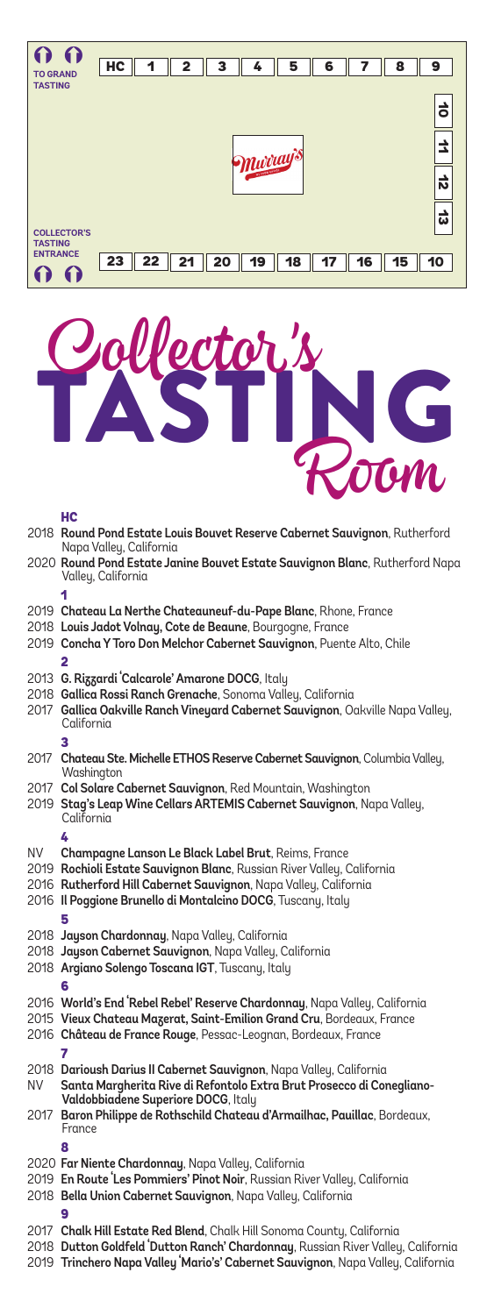



#### HC

|      | 2018 Round Pond Estate Louis Bouvet Reserve Cabernet Sauvignon, Rutherford<br>Napa Valley, California                                                                                                                                                             |
|------|-------------------------------------------------------------------------------------------------------------------------------------------------------------------------------------------------------------------------------------------------------------------|
|      | 2020 Round Pond Estate Janine Bouvet Estate Sauvignon Blanc, Rutherford Napa<br>Valley, California                                                                                                                                                                |
|      |                                                                                                                                                                                                                                                                   |
|      | 2019 Chateau La Nerthe Chateauneuf-du-Pape Blanc, Rhone, France<br>2018 Louis Jadot Volnay, Cote de Beaune, Bourgogne, France<br>2019 Concha Y Toro Don Melchor Cabernet Sauvignon, Puente Alto, Chile                                                            |
|      |                                                                                                                                                                                                                                                                   |
|      | 2013 G. Rizzardi Calcarole' Amarone DOCG, Italy<br>2018 Gallica Rossi Ranch Grenache, Sonoma Valley, California<br>2017 Gallica Oakville Ranch Vineyard Cabernet Sauvignon, Oakville Napa Valley,<br>California                                                   |
|      | 3                                                                                                                                                                                                                                                                 |
|      | 2017 Chateau Ste. Michelle ETHOS Reserve Cabernet Sauvignon, Columbia Valley,<br>Washington                                                                                                                                                                       |
|      | 2017 Col Solare Cabernet Sauvignon, Red Mountain, Washington<br>2019 Stag's Leap Wine Cellars ARTEMIS Cabernet Sauvignon, Napa Valley,<br>California                                                                                                              |
|      | 4                                                                                                                                                                                                                                                                 |
| NV - | Champagne Lanson Le Black Label Brut, Reims, France<br>2019 Rochioli Estate Sauvignon Blanc, Russian River Valley, California<br>2016 Rutherford Hill Cabernet Sauvignon, Napa Valley, California<br>2016 Il Poggione Brunello di Montalcino DOCG, Tuscany, Italy |
|      | 5                                                                                                                                                                                                                                                                 |
|      | 2018 Jayson Chardonnay, Napa Valley, California<br>2018 Jayson Cabernet Sauvignon, Napa Valley, California<br>2018 Argiano Solengo Toscana IGT, Tuscany, Italy                                                                                                    |
|      | 6                                                                                                                                                                                                                                                                 |
|      | 2016 World's End 'Rebel Rebel' Reserve Chardonnay, Napa Valley, California<br>2015 Vieux Chateau Mazerat, Saint-Emilion Grand Cru, Bordeaux, France<br>2016 Château de France Rouge, Pessac-Leognan, Bordeaux, France                                             |
| NV   | 2018 Darioush Darius II Cabernet Sauvignon, Napa Valley, California<br>Santa Margherita Rive di Refontolo Extra Brut Prosecco di Conegliano-<br>Valdobbiadene Superiore DOCG, Italy                                                                               |
|      | 2017 Baron Philippe de Rothschild Chateau d'Armailhac, Pauillac, Bordeaux,<br>France                                                                                                                                                                              |
|      | я                                                                                                                                                                                                                                                                 |
|      | 2020 Far Niente Chardonnay, Napa Valley, California<br>2019 En Route Les Pommiers' Pinot Noir, Russian River Valley, California<br>2018 Bella Union Cabernet Sauvignon, Napa Valley, California                                                                   |
|      |                                                                                                                                                                                                                                                                   |
|      | 2017 Chalk Hill Estate Red Blend, Chalk Hill Sonoma County, California<br>2018 Dutton Goldfeld 'Dutton Ranch' Chardonnay, Russian River Valley, California<br>2019 Trinchero Napa Valley 'Mario's' Cabernet Sauvignon, Napa Valley, California                    |